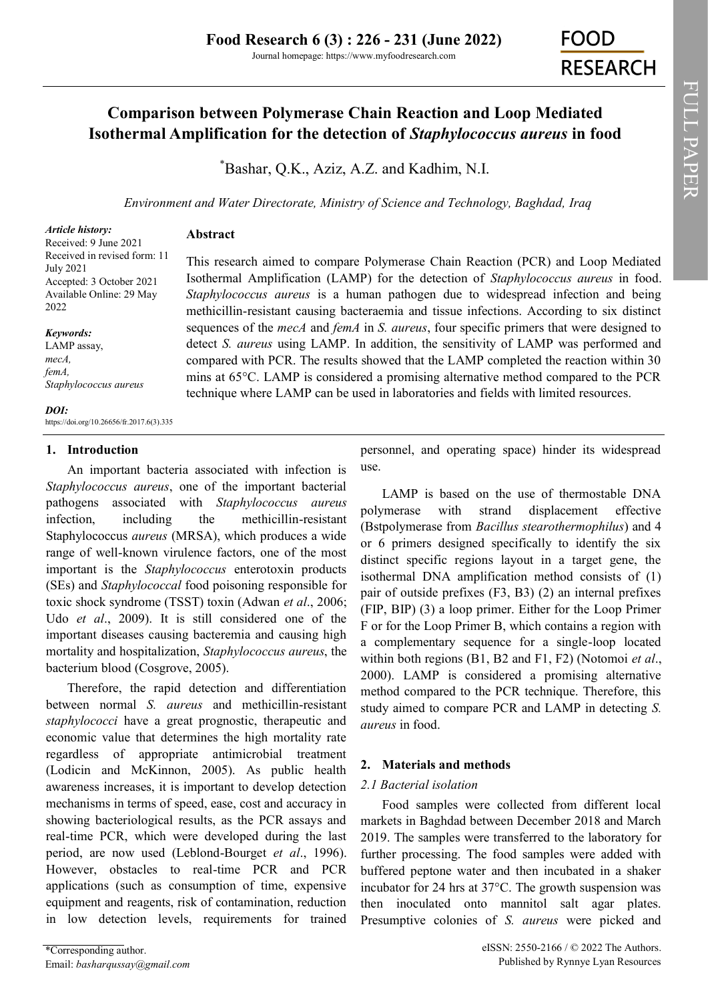Journal homepage: https://www.myfoodresearch.com

# **Comparison between Polymerase Chain Reaction and Loop Mediated Isothermal Amplification for the detection of** *Staphylococcus aureus* **in food**

\*[Bashar, Q.K.,](https://orcid.org/0000-0003-0403-6644) [Aziz, A.Z. a](https://orcid.org/0000-0002-4000-5645)nd [Kadhim, N.I.](https://orcid.org/0000-0001-7957-6552)

*Environment and Water Directorate, Ministry of Science and Technology, Baghdad, Iraq*

This research aimed to compare Polymerase Chain Reaction (PCR) and Loop Mediated Isothermal Amplification (LAMP) for the detection of *Staphylococcus aureus* in food. *Staphylococcus aureus* is a human pathogen due to widespread infection and being methicillin-resistant causing bacteraemia and tissue infections. According to six distinct sequences of the *mecA* and *femA* in *S. aureus*, four specific primers that were designed to detect *S. aureus* using LAMP. In addition, the sensitivity of LAMP was performed and compared with PCR. The results showed that the LAMP completed the reaction within 30 mins at 65°C. LAMP is considered a promising alternative method compared to the PCR technique where LAMP can be used in laboratories and fields with limited resources.

*Article history:* Received: 9 June 2021 Received in revised form: 11 July 2021 Accepted: 3 October 2021 Available Online: 29 May 2022

*Keywords:* LAMP assay, *mecA, femA, Staphylococcus aureus*

*DOI:* https://doi.org/10.26656/fr.2017.6(3).335

# **1. Introduction**

An important bacteria associated with infection is *Staphylococcus aureus*, one of the important bacterial pathogens associated with *Staphylococcus aureus* infection, including the methicillin-resistant Staphylococcus *aureus* (MRSA), which produces a wide range of well-known virulence factors, one of the most important is the *Staphylococcus* enterotoxin products (SEs) and *Staphylococcal* food poisoning responsible for toxic shock syndrome (TSST) toxin (Adwan *et al*., 2006; Udo *et al*., 2009). It is still considered one of the important diseases causing bacteremia and causing high mortality and hospitalization, *Staphylococcus aureus*, the bacterium blood (Cosgrove, 2005).

**Abstract**

Therefore, the rapid detection and differentiation between normal *S. aureus* and methicillin-resistant *staphylococci* have a great prognostic, therapeutic and economic value that determines the high mortality rate regardless of appropriate antimicrobial treatment (Lodicin and McKinnon, 2005). As public health awareness increases, it is important to develop detection mechanisms in terms of speed, ease, cost and accuracy in showing bacteriological results, as the PCR assays and real-time PCR, which were developed during the last period, are now used (Leblond-Bourget *et al*., 1996). However, obstacles to real-time PCR and PCR applications (such as consumption of time, expensive equipment and reagents, risk of contamination, reduction in low detection levels, requirements for trained personnel, and operating space) hinder its widespread use.

LAMP is based on the use of thermostable DNA polymerase with strand displacement effective (Bstpolymerase from *Bacillus stearothermophilus*) and 4 or 6 primers designed specifically to identify the six distinct specific regions layout in a target gene, the isothermal DNA amplification method consists of (1) pair of outside prefixes (F3, B3) (2) an internal prefixes (FIP, BIP) (3) a loop primer. Either for the Loop Primer F or for the Loop Primer B, which contains a region with a complementary sequence for a single-loop located within both regions (B1, B2 and F1, F2) (Notomoi *et al*., 2000). LAMP is considered a promising alternative method compared to the PCR technique. Therefore, this study aimed to compare PCR and LAMP in detecting *S. aureus* in food.

# **2. Materials and methods**

# *2.1 Bacterial isolation*

Food samples were collected from different local markets in Baghdad between December 2018 and March 2019. The samples were transferred to the laboratory for further processing. The food samples were added with buffered peptone water and then incubated in a shaker incubator for 24 hrs at 37°C. The growth suspension was then inoculated onto mannitol salt agar plates. Presumptive colonies of *S. aureus* were picked and

**FOOD** 

**RESEARCH**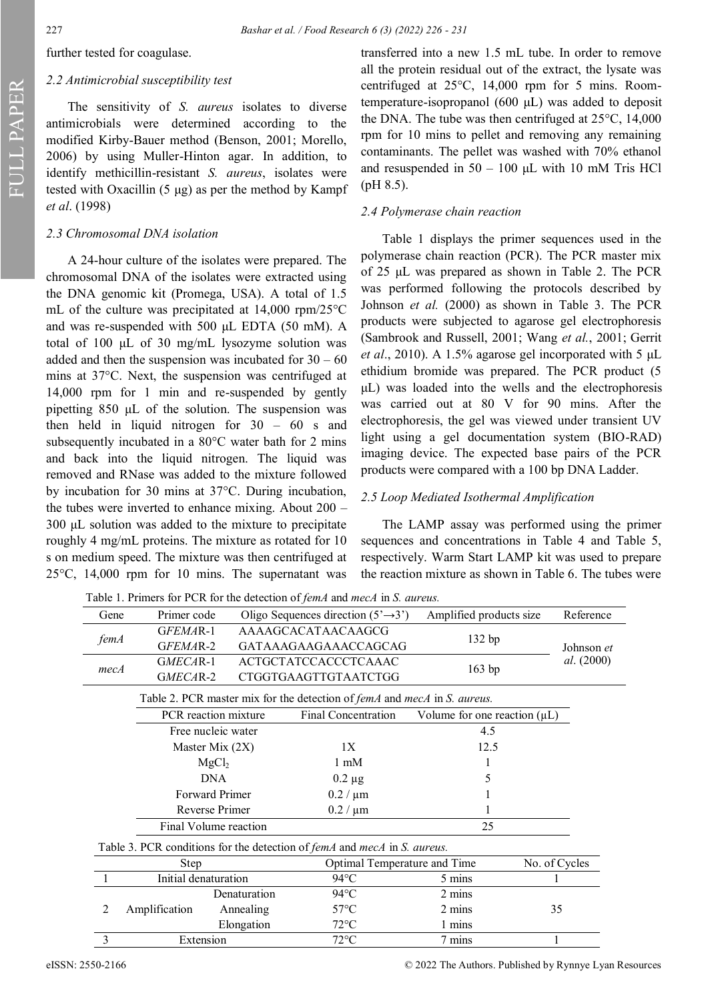further tested for coagulase.

#### *2.2 Antimicrobial susceptibility test*

The sensitivity of *S. aureus* isolates to diverse antimicrobials were determined according to the modified Kirby-Bauer method (Benson, 2001; Morello, 2006) by using Muller-Hinton agar. In addition, to identify methicillin-resistant *S. aureus*, isolates were tested with Oxacillin (5 μg) as per the method by Kampf *et al*. (1998)

#### *2.3 Chromosomal DNA isolation*

A 24-hour culture of the isolates were prepared. The chromosomal DNA of the isolates were extracted using the DNA genomic kit (Promega, USA). A total of 1.5 mL of the culture was precipitated at 14,000 rpm/25°C and was re-suspended with 500 μL EDTA (50 mM). A total of 100 μL of 30 mg/mL lysozyme solution was added and then the suspension was incubated for  $30 - 60$ mins at 37°C. Next, the suspension was centrifuged at 14,000 rpm for 1 min and re-suspended by gently pipetting 850 μL of the solution. The suspension was then held in liquid nitrogen for 30 – 60 s and subsequently incubated in a 80°C water bath for 2 mins and back into the liquid nitrogen. The liquid was removed and RNase was added to the mixture followed by incubation for 30 mins at 37°C. During incubation, the tubes were inverted to enhance mixing. About 200 – 300 μL solution was added to the mixture to precipitate roughly 4 mg/mL proteins. The mixture as rotated for 10 s on medium speed. The mixture was then centrifuged at 25°C, 14,000 rpm for 10 mins. The supernatant was

transferred into a new 1.5 mL tube. In order to remove all the protein residual out of the extract, the lysate was centrifuged at 25°C, 14,000 rpm for 5 mins. Roomtemperature-isopropanol (600 μL) was added to deposit the DNA. The tube was then centrifuged at 25°C, 14,000 rpm for 10 mins to pellet and removing any remaining contaminants. The pellet was washed with 70% ethanol and resuspended in  $50 - 100$   $\mu$ L with 10 mM Tris HCl (pH 8.5).

#### *2.4 Polymerase chain reaction*

Table 1 displays the primer sequences used in the polymerase chain reaction (PCR). The PCR master mix of 25 μL was prepared as shown in Table 2. The PCR was performed following the protocols described by Johnson *et al.* (2000) as shown in Table 3. The PCR products were subjected to agarose gel electrophoresis (Sambrook and Russell, 2001; Wang *et al.*, 2001; Gerrit *et al*., 2010). A 1.5% agarose gel incorporated with 5 μL ethidium bromide was prepared. The PCR product (5 μL) was loaded into the wells and the electrophoresis was carried out at 80 V for 90 mins. After the electrophoresis, the gel was viewed under transient UV light using a gel documentation system (BIO-RAD) imaging device. The expected base pairs of the PCR products were compared with a 100 bp DNA Ladder.

#### *2.5 Loop Mediated Isothermal Amplification*

The LAMP assay was performed using the primer sequences and concentrations in Table 4 and Table 5, respectively. Warm Start LAMP kit was used to prepare the reaction mixture as shown in Table 6. The tubes were

|      |                             |                                                  | T able 1. I finitely for TCK for the detection of <i>fema</i> and <i>meca</i> in S. <i>dureus</i> . |                                               |            |
|------|-----------------------------|--------------------------------------------------|-----------------------------------------------------------------------------------------------------|-----------------------------------------------|------------|
| Gene | Primer code                 |                                                  | Oligo Sequences direction $(5' \rightarrow 3')$                                                     | Amplified products size                       | Reference  |
| femA | GFEMAR-1                    |                                                  | AAAAGCACATAACAAGCG                                                                                  |                                               |            |
|      | GFEMAR-2                    | GATAAAGAAGAAACCAGCAG                             |                                                                                                     | 132 bp                                        | Johnson et |
| mecA | GMECAR-1                    |                                                  | <b>ACTGCTATCCACCCTCAAAC</b>                                                                         | 163 bp                                        | al. (2000) |
|      | GMECAR-2                    |                                                  | CTGGTGAAGTTGTAATCTGG                                                                                |                                               |            |
|      |                             |                                                  | Table 2. PCR master mix for the detection of <i>femA</i> and <i>mecA</i> in <i>S. aureus.</i>       |                                               |            |
|      |                             | PCR reaction mixture<br>Free nucleic water       |                                                                                                     | Volume for one reaction $(\mu L)$             |            |
|      |                             |                                                  |                                                                                                     | 4.5                                           |            |
|      | Master Mix (2X)             |                                                  | 1X                                                                                                  | 12.5                                          |            |
|      | MgCl <sub>2</sub>           |                                                  | $1 \text{ mM}$                                                                                      |                                               |            |
|      | <b>DNA</b>                  |                                                  | $0.2 \mu g$                                                                                         |                                               |            |
|      | Forward Primer              |                                                  | $0.2 / \mu m$                                                                                       |                                               |            |
|      |                             | Reverse Primer                                   |                                                                                                     |                                               |            |
|      | Final Volume reaction<br>25 |                                                  |                                                                                                     |                                               |            |
|      |                             |                                                  | Table 3. PCR conditions for the detection of <i>femA</i> and <i>mecA</i> in <i>S. aureus.</i>       |                                               |            |
|      | Step                        |                                                  |                                                                                                     | Optimal Temperature and Time<br>No. of Cycles |            |
|      |                             | Initial denaturation<br>5 mins<br>$94^{\circ}$ C |                                                                                                     |                                               |            |
|      |                             | Denaturation                                     | $94^{\circ}$ C                                                                                      | 2 mins                                        |            |
| 2    | Amplification               | Annealing                                        | 57°C                                                                                                | 2 mins                                        | 35         |
|      |                             | Elongation                                       | $72^{\circ}$ C                                                                                      | 1 mins                                        |            |
| 3    | Extension                   |                                                  | $72^{\circ}$ C                                                                                      | 7 mins                                        | 1          |

Table 1. Primers for PCR for the detection of *femA* and *mecA* in *S. aureus.*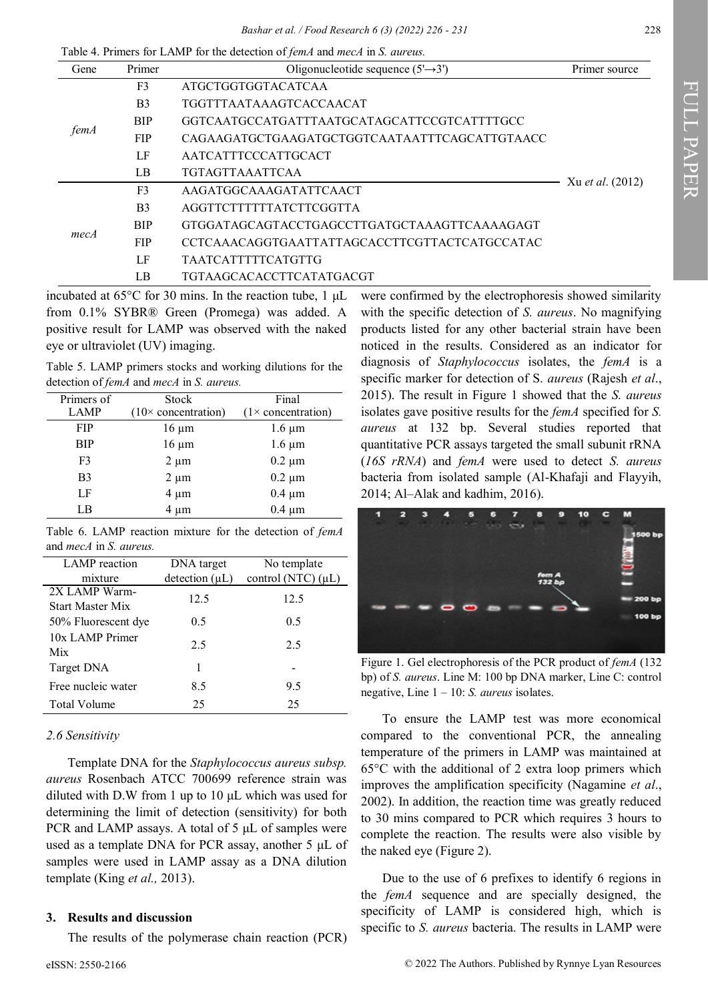*Bashar et al. / Food Research 6 (3) (2022) 226 - 231* 228

| Gene | Primer         | Oligonucleotide sequence $(5' \rightarrow 3')$ | Primer source           |  |
|------|----------------|------------------------------------------------|-------------------------|--|
|      | F <sub>3</sub> | ATGCTGGTGGTACATCAA                             |                         |  |
|      | B <sub>3</sub> | TGGTTTAATAAAGTCACCAACAT                        |                         |  |
|      | <b>BIP</b>     | GGTCAATGCCATGATTTAATGCATAGCATTCCGTCATTTTGCC    |                         |  |
| femA | <b>FIP</b>     | CAGAAGATGCTGAAGATGCTGGTCAATAATTTCAGCATTGTAACC  |                         |  |
|      | LF             | AATCATTTCCCATTGCACT                            |                         |  |
|      | LB             | <b>TGTAGTTAAATTCAA</b>                         |                         |  |
|      | F <sub>3</sub> | AAGATGGCAAAGATATTCAACT                         | Xu <i>et al.</i> (2012) |  |
|      | B <sub>3</sub> | AGGTTCTTTTTTATCTTCGGTTA                        |                         |  |
| mecA | <b>BIP</b>     | GTGGATAGCAGTACCTGAGCCTTGATGCTAAAGTTCAAAAGAGT   |                         |  |
|      | <b>FIP</b>     | CCTCAAACAGGTGAATTATTAGCACCTTCGTTACTCATGCCATAC  |                         |  |
|      | LF             | TAATCATTTTTCATGTTG                             |                         |  |
|      | LB             | <b>TGTAAGCACACCTTCATATGACGT</b>                |                         |  |

Table 4. Primers for LAMP for the detection of *femA* and *mecA* in *S. aureus.*

incubated at 65°C for 30 mins. In the reaction tube, 1 μL from 0.1% SYBR® Green (Promega) was added. A positive result for LAMP was observed with the naked eye or ultraviolet (UV) imaging.

Table 5. LAMP primers stocks and working dilutions for the detection of *femA* and *mecA* in *S. aureus.*

| Primers of     | <b>Stock</b>                       | Final                      |  |  |
|----------------|------------------------------------|----------------------------|--|--|
| <b>LAMP</b>    | $(10 \times \text{concentration})$ | $(1 \times$ concentration) |  |  |
| <b>FIP</b>     | $16 \mu m$                         | $1.6 \mu m$                |  |  |
| <b>BIP</b>     | $16 \mu m$                         | $1.6 \mu m$                |  |  |
| F <sub>3</sub> | $2 \mu m$                          | $0.2 \mu m$                |  |  |
| B <sub>3</sub> | $2 \mu m$                          | $0.2 \mu m$                |  |  |
| LF             | $4 \mu m$                          | $0.4 \mu m$                |  |  |
| LB             | $4 \mu m$                          | $0.4 \mu m$                |  |  |

Table 6. LAMP reaction mixture for the detection of *femA* and *mecA* in *S. aureus.*

| LAMP reaction           | DNA target          | No template             |  |  |
|-------------------------|---------------------|-------------------------|--|--|
| mixture                 | detection $(\mu L)$ | control (NTC) $(\mu L)$ |  |  |
| 2X LAMP Warm-           | 12.5                | 12.5                    |  |  |
| <b>Start Master Mix</b> |                     |                         |  |  |
| 50% Fluorescent dye     | 0.5                 | 0.5                     |  |  |
| 10x LAMP Primer         |                     | 2.5                     |  |  |
| Mix                     | 2.5                 |                         |  |  |
| Target DNA              | 1                   |                         |  |  |
| Free nucleic water      | 8.5                 | 9.5                     |  |  |
| <b>Total Volume</b>     | 25                  | 25                      |  |  |

# *2.6 Sensitivity*

Template DNA for the *Staphylococcus aureus subsp. aureus* Rosenbach ATCC 700699 reference strain was diluted with D.W from 1 up to 10 μL which was used for determining the limit of detection (sensitivity) for both PCR and LAMP assays. A total of 5 μL of samples were used as a template DNA for PCR assay, another 5 μL of samples were used in LAMP assay as a DNA dilution template (King *et al.,* 2013).

# **3. Results and discussion**

The results of the polymerase chain reaction (PCR)

were confirmed by the electrophoresis showed similarity with the specific detection of *S. aureus*. No magnifying products listed for any other bacterial strain have been noticed in the results. Considered as an indicator for diagnosis of *Staphylococcus* isolates, the *femA* is a specific marker for detection of S. *aureus* (Rajesh *et al*., 2015). The result in Figure 1 showed that the *S. aureus* isolates gave positive results for the *femA* specified for *S. aureus* at 132 bp. Several studies reported that quantitative PCR assays targeted the small subunit rRNA (*16S rRNA*) and *femA* were used to detect *S. aureus* bacteria from isolated sample (Al-Khafaji and Flayyih, 2014; Al–Alak and kadhim, 2016).



Figure 1. Gel electrophoresis of the PCR product of *femA* (132 bp) of *S. aureus*. Line M: 100 bp DNA marker, Line C: control negative, Line 1 – 10: *S. aureus* isolates.

To ensure the LAMP test was more economical compared to the conventional PCR, the annealing temperature of the primers in LAMP was maintained at 65°C with the additional of 2 extra loop primers which improves the amplification specificity (Nagamine *et al*., 2002). In addition, the reaction time was greatly reduced to 30 mins compared to PCR which requires 3 hours to complete the reaction. The results were also visible by the naked eye (Figure 2).

Due to the use of 6 prefixes to identify 6 regions in the *femA* sequence and are specially designed, the specificity of LAMP is considered high, which is specific to *S. aureus* bacteria. The results in LAMP were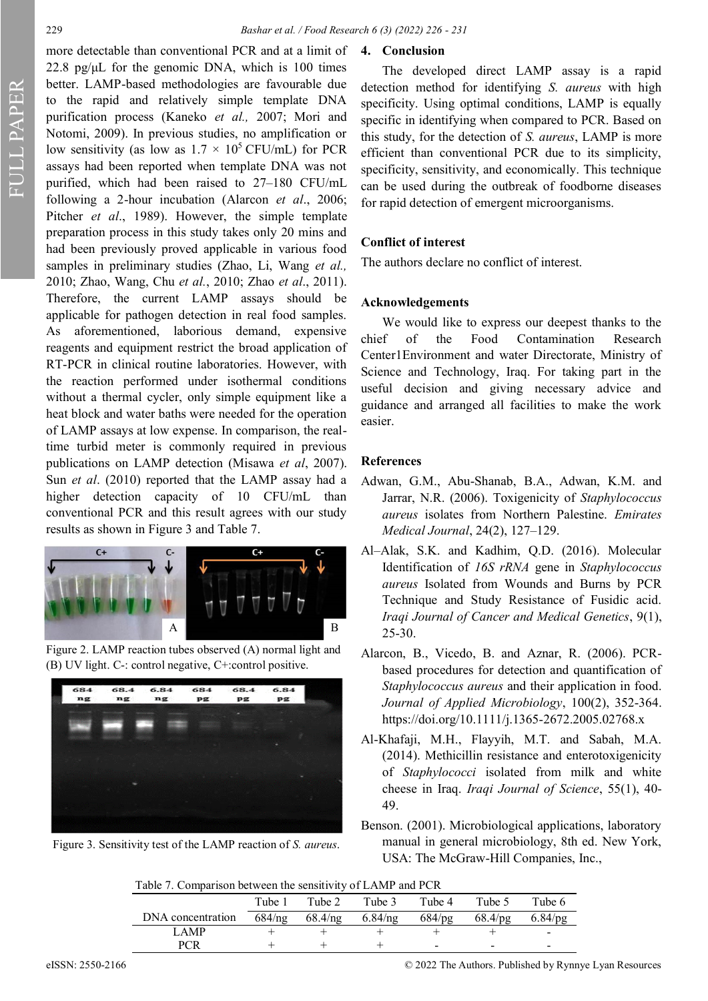FULL PAPER

more detectable than conventional PCR and at a limit of 22.8 pg/ $\mu$ L for the genomic DNA, which is 100 times better. LAMP-based methodologies are favourable due to the rapid and relatively simple template DNA purification process (Kaneko *et al.,* 2007; Mori and Notomi, 2009). In previous studies, no amplification or low sensitivity (as low as  $1.7 \times 10^5$  CFU/mL) for PCR assays had been reported when template DNA was not purified, which had been raised to 27–180 CFU/mL following a 2-hour incubation (Alarcon *et al*., 2006; Pitcher *et al*., 1989). However, the simple template preparation process in this study takes only 20 mins and had been previously proved applicable in various food samples in preliminary studies (Zhao, Li, Wang *et al.,*  2010; Zhao, Wang, Chu *et al.*, 2010; Zhao *et al*., 2011). Therefore, the current LAMP assays should be applicable for pathogen detection in real food samples. As aforementioned, laborious demand, expensive reagents and equipment restrict the broad application of RT-PCR in clinical routine laboratories. However, with the reaction performed under isothermal conditions without a thermal cycler, only simple equipment like a heat block and water baths were needed for the operation of LAMP assays at low expense. In comparison, the realtime turbid meter is commonly required in previous publications on LAMP detection (Misawa *et al*, 2007). Sun *et al*. (2010) reported that the LAMP assay had a higher detection capacity of 10 CFU/mL than conventional PCR and this result agrees with our study results as shown in Figure 3 and Table 7.



Figure 2. LAMP reaction tubes observed (A) normal light and (B) UV light. C-: control negative, C+:control positive.



Figure 3. Sensitivity test of the LAMP reaction of *S. aureus*.

# **4. Conclusion**

The developed direct LAMP assay is a rapid detection method for identifying *S. aureus* with high specificity. Using optimal conditions, LAMP is equally specific in identifying when compared to PCR. Based on this study, for the detection of *S. aureus*, LAMP is more efficient than conventional PCR due to its simplicity, specificity, sensitivity, and economically. This technique can be used during the outbreak of foodborne diseases for rapid detection of emergent microorganisms.

### **Conflict of interest**

The authors declare no conflict of interest.

#### **Acknowledgements**

We would like to express our deepest thanks to the chief of the Food Contamination Research Center1Environment and water Directorate, Ministry of Science and Technology, Iraq. For taking part in the useful decision and giving necessary advice and guidance and arranged all facilities to make the work easier.

### **References**

- Adwan, G.M., Abu-Shanab, B.A., Adwan, K.M. and Jarrar, N.R. (2006). Toxigenicity of *Staphylococcus aureus* isolates from Northern Palestine. *Emirates Medical Journal*, 24(2), 127–129.
- Al–Alak, S.K. and Kadhim, Q.D. (2016). Molecular Identification of *16S rRNA* gene in *Staphylococcus aureus* Isolated from Wounds and Burns by PCR Technique and Study Resistance of Fusidic acid. *Iraqi Journal of Cancer and Medical Genetics*, 9(1), 25-30.
- Alarcon, B., Vicedo, B. and Aznar, R. (2006). PCRbased procedures for detection and quantification of *Staphylococcus aureus* and their application in food. *Journal of Applied Microbiology*, 100(2), 352-364. [https://doi.org/10.1111/j.1365](https://doi.org/10.1111/j.1365-2672.2005.02768.x)-2672.2005.02768.x
- Al-Khafaji, M.H., Flayyih, M.T. and Sabah, M.A. (2014). Methicillin resistance and enterotoxigenicity of *Staphylococci* isolated from milk and white cheese in Iraq. *Iraqi Journal of Science*, 55(1), 40- 49.
- Benson. (2001). Microbiological applications, laboratory manual in general microbiology, 8th ed. New York, USA: The McGraw-Hill Companies, Inc.,

|                   | Tube 1 | Tube 2                       | Tube 3 | Tube 4                   | Tube 5                                            | Tube 6                   |
|-------------------|--------|------------------------------|--------|--------------------------|---------------------------------------------------|--------------------------|
| DNA concentration |        | $684/ng$ $68.4/ng$ $6.84/ng$ |        |                          | $684/\text{pg}$ $68.4/\text{pg}$ $6.84/\text{pg}$ |                          |
| LAMP              |        |                              |        |                          |                                                   | $\overline{\phantom{a}}$ |
| <b>PCR</b>        |        |                              |        | $\overline{\phantom{0}}$ |                                                   |                          |

eISSN: 2550-2166 © 2022 The Authors. Published by Rynnye Lyan Resources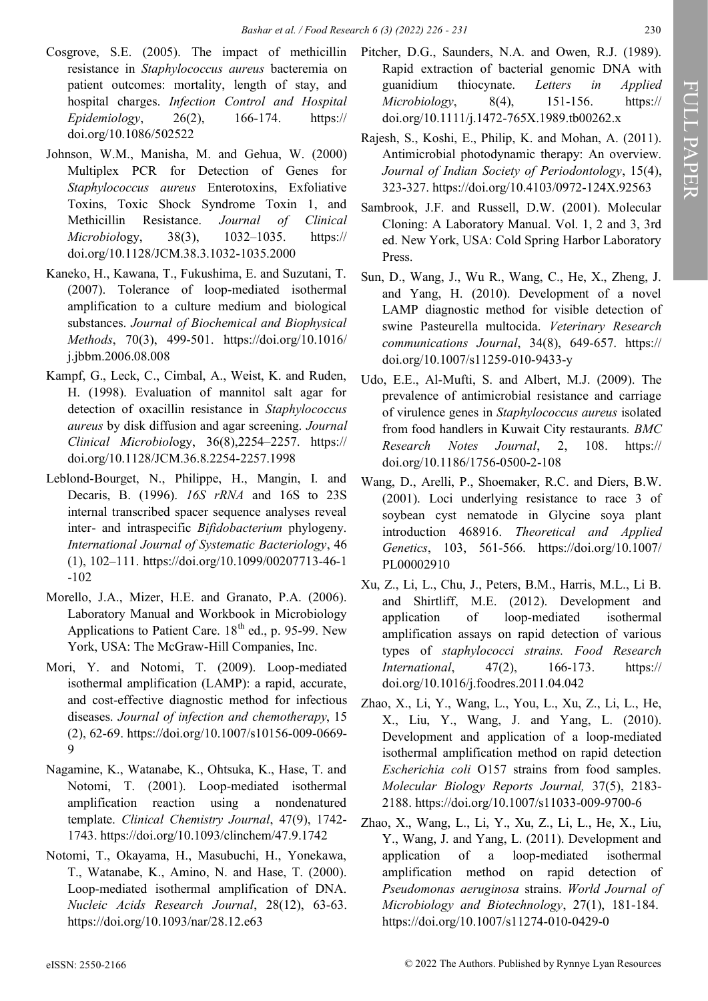- Cosgrove, S.E. (2005). The impact of methicillin resistance in *Staphylococcus aureus* bacteremia on patient outcomes: mortality, length of stay, and hospital charges. *Infection Control and Hospital Epidemiology*, 26(2), 166-174. https:// [doi.org/10.1086/502522](https://doi.org/10.1086/502522)
- Johnson, W.M., Manisha, M. and Gehua, W. (2000) Multiplex PCR for Detection of Genes for *Staphylococcus aureus* Enterotoxins, Exfoliative Toxins, Toxic Shock Syndrome Toxin 1, and Methicillin Resistance. *Journal of Clinical Microbiol*ogy, 38(3), 1032–1035. [https://](https://doi.org/10.1128/JCM.38.3.1032-1035.2000) [doi.org/10.1128/JCM.38.3.1032](https://doi.org/10.1128/JCM.38.3.1032-1035.2000)-1035.2000
- Kaneko, H., Kawana, T., Fukushima, E. and Suzutani, T. (2007). Tolerance of loop-mediated isothermal amplification to a culture medium and biological substances. *Journal of Biochemical and Biophysical Methods*, 70(3), 499-501. [https://doi.org/10.1016/](https://doi.org/10.1016/j.jbbm.2006.08.008) [j.jbbm.2006.08.008](https://doi.org/10.1016/j.jbbm.2006.08.008)
- Kampf, G., Leck, C., Cimbal, A., Weist, K. and Ruden, H. (1998). Evaluation of mannitol salt agar for detection of oxacillin resistance in *Staphylococcus aureus* by disk diffusion and agar screening. *Journal Clinical Microbiol*ogy, 36(8),2254–2257. [https://](https://doi.org/10.1128/JCM.36.8.2254-2257.1998) [doi.org/10.1128/JCM.36.8.2254](https://doi.org/10.1128/JCM.36.8.2254-2257.1998)-2257.1998
- Leblond-Bourget, N., Philippe, H., Mangin, I. and Decaris, B. (1996). *16S rRNA* and 16S to 23S internal transcribed spacer sequence analyses reveal inter- and intraspecific *Bifidobacterium* phylogeny. *International Journal of Systematic Bacteriology*, 46 (1), 102–111. [https://doi.org/10.1099/00207713](https://doi.org/10.1099/00207713-46-1-102)-46-1 -[102](https://doi.org/10.1099/00207713-46-1-102)
- Morello, J.A., Mizer, H.E. and Granato, P.A. (2006). Laboratory Manual and Workbook in Microbiology Applications to Patient Care.  $18<sup>th</sup>$  ed., p. 95-99. New York, USA: The McGraw-Hill Companies, Inc.
- Mori, Y. and Notomi, T. (2009). Loop-mediated isothermal amplification (LAMP): a rapid, accurate, and cost-effective diagnostic method for infectious diseases. *Journal of infection and chemotherapy*, 15 (2), 62-69. [https://doi.org/10.1007/s10156](https://doi.org/10.1007/s10156-009-0669-9)-009-0669- [9](https://doi.org/10.1007/s10156-009-0669-9)
- Nagamine, K., Watanabe, K., Ohtsuka, K., Hase, T. and Notomi, T. (2001). Loop-mediated isothermal amplification reaction using a nondenatured template. *Clinical Chemistry Journal*, 47(9), 1742- 1743. <https://doi.org/10.1093/clinchem/47.9.1742>
- Notomi, T., Okayama, H., Masubuchi, H., Yonekawa, T., Watanabe, K., Amino, N. and Hase, T. (2000). Loop-mediated isothermal amplification of DNA. *Nucleic Acids Research Journal*, 28(12), 63-63. <https://doi.org/10.1093/nar/28.12.e63>
- Pitcher, D.G., Saunders, N.A. and Owen, R.J. (1989). Rapid extraction of bacterial genomic DNA with guanidium thiocynate. *Letters in Applied Microbiology*, 8(4), 151-156. https:// [doi.org/10.1111/j.1472](https://doi.org/10.1111/j.1472-765X.1989.tb00262.x)-765X.1989.tb00262.x
- Rajesh, S., Koshi, E., Philip, K. and Mohan, A. (2011). Antimicrobial photodynamic therapy: An overview. *Journal of Indian Society of Periodontology*, 15(4), 323-327. [https://doi.org/10.4103/0972](https://doi.org/10.4103/0972-124X.92563)-124X.92563
- Sambrook, J.F. and Russell, D.W. (2001). Molecular Cloning: A Laboratory Manual. Vol. 1, 2 and 3, 3rd ed. New York, USA: Cold Spring Harbor Laboratory Press.
- Sun, D., Wang, J., Wu R., Wang, C., He, X., Zheng, J. and Yang, H. (2010). Development of a novel LAMP diagnostic method for visible detection of swine Pasteurella multocida. *Veterinary Research communications Journal*, 34(8), 649-657. https:// [doi.org/10.1007/s11259](https://doi.org/10.1007/s11259-010-9433-y)-010-9433-y
- Udo, E.E., Al-Mufti, S. and Albert, M.J. (2009). The prevalence of antimicrobial resistance and carriage of virulence genes in *Staphylococcus aureus* isolated from food handlers in Kuwait City restaurants*. BMC Research Notes Journal*, 2, 108. [https://](https://doi.org/10.1186/1756-0500-2-108) [doi.org/10.1186/1756](https://doi.org/10.1186/1756-0500-2-108)-0500-2-108
- Wang, D., Arelli, P., Shoemaker, R.C. and Diers, B.W. (2001). Loci underlying resistance to race 3 of soybean cyst nematode in Glycine soya plant introduction 468916. *Theoretical and Applied Genetics*, 103, 561-566. [https://doi.org/10.1007/](https://doi.org/10.1007/PL00002910) [PL00002910](https://doi.org/10.1007/PL00002910)
- Xu, Z., Li, L., Chu, J., Peters, B.M., Harris, M.L., Li B. and Shirtliff, M.E. (2012). Development and application of loop-mediated isothermal amplification assays on rapid detection of various types of *staphylococci strains. Food Research International*, 47(2), 166-173. [https://](https://doi.org/10.1016/j.foodres.2011.04.042) [doi.org/10.1016/j.foodres.2011.04.042](https://doi.org/10.1016/j.foodres.2011.04.042)
- Zhao, X., Li, Y., Wang, L., You, L., Xu, Z., Li, L., He, X., Liu, Y., Wang, J. and Yang, L. (2010). Development and application of a loop-mediated isothermal amplification method on rapid detection *Escherichia coli* O157 strains from food samples. *Molecular Biology Reports Journal,* 37(5), 2183- 2188. [https://doi.org/10.1007/s11033](https://doi.org/10.1007/s11033-009-9700-6)-009-9700-6
- Zhao, X., Wang, L., Li, Y., Xu, Z., Li, L., He, X., Liu, Y., Wang, J. and Yang, L. (2011). Development and application of a loop-mediated isothermal amplification method on rapid detection of *Pseudomonas aeruginosa* strains. *World Journal of Microbiology and Biotechnology*, 27(1), 181-184. [https://doi.org/10.1007/s11274](https://doi.org/10.1007/s11274-010-0429-0)-010-0429-0